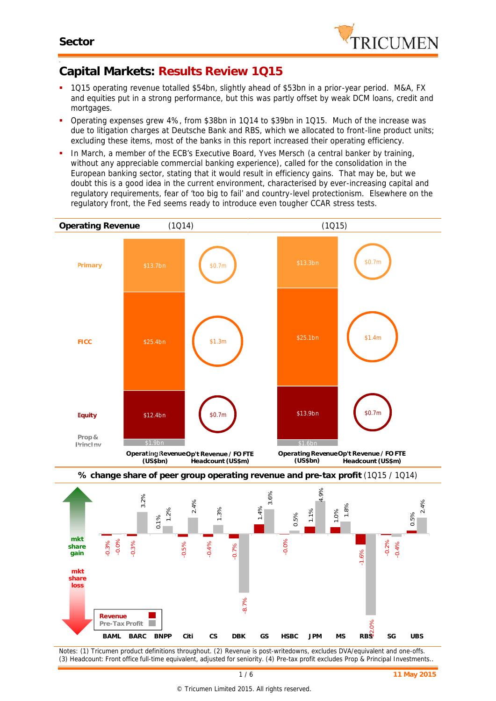$\mathcal{L}^{-1}$ -0.12 -0.1 -0.08 **loss** -0.06 **share**

**Revenue Pre-Tax Profit**

T.

**mkt**

-



# **Capital Markets: Results Review 1Q15**

- 1Q15 operating revenue totalled \$54bn, slightly ahead of \$53bn in a prior-year period. M&A, FX and equities put in a strong performance, but this was partly offset by weak DCM loans, credit and mortgages.
- Operating expenses grew 4%, from \$38bn in 1Q14 to \$39bn in 1Q15. Much of the increase was due to litigation charges at Deutsche Bank and RBS, which we allocated to front-line product units; excluding these items, most of the banks in this report increased their operating efficiency.
- In March, a member of the ECB's Executive Board, Yves Mersch (a central banker by training, without any appreciable commercial banking experience), called for the consolidation in the European banking sector, stating that it would result in efficiency gains. That may be, but we doubt this is a good idea in the current environment, characterised by ever-increasing capital and regulatory requirements, fear of 'too big to fail' and country-level protectionism. Elsewhere on the regulatory front, the Fed seems ready to introduce even tougher CCAR stress tests.



*Notes: (1) Tricumen product definitions throughout. (2) Revenue is post-writedowns, excludes DVA/equivalent and one-offs.*

**BAML BARC BNPP Citi CS DBK GS HSBC JPM MS RBS SG UBS**

-8.7%

 $RB<sub>2</sub>$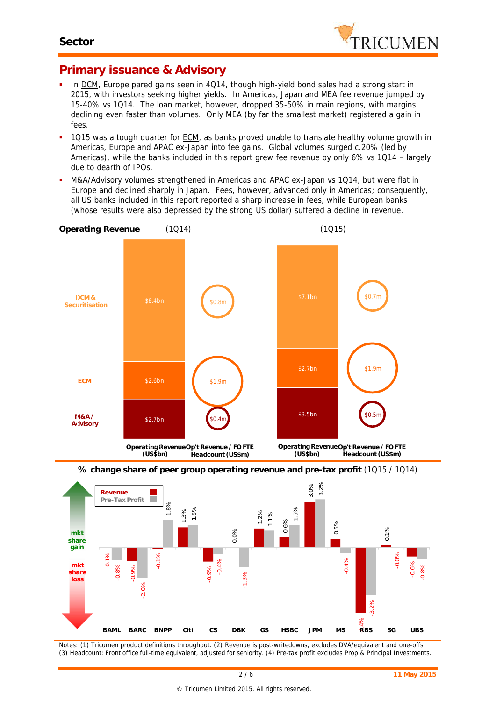

#### **Primary issuance & Advisory**

- In DCM, Europe pared gains seen in 4Q14, though high-yield bond sales had a strong start in 2015, with investors seeking higher yields. In Americas, Japan and MEA fee revenue jumped by 15-40% vs 1Q14. The loan market, however, dropped 35-50% in main regions, with margins declining even faster than volumes. Only MEA (by far the smallest market) registered a gain in fees.
- 1Q15 was a tough quarter for ECM, as banks proved unable to translate healthy volume growth in Americas, Europe and APAC ex-Japan into fee gains. Global volumes surged c.20% (led by Americas), while the banks included in this report grew fee revenue by only 6% vs 1Q14 – largely due to dearth of IPOs.
- M&A/Advisory volumes strengthened in Americas and APAC ex-Japan vs 1Q14, but were flat in Europe and declined sharply in Japan. Fees, however, advanced only in Americas; consequently, all US banks included in this report reported a sharp increase in fees, while European banks whose results were also depressed by the strong US dollar) suffered a decline in revenue.





*Notes: (1) Tricumen product definitions throughout. (2) Revenue is post-writedowns, excludes DVA/equivalent and one-offs. (3) Headcount: Front office full-time equivalent, adjusted for seniority. (4) Pre-tax profit excludes Prop & Principal Investments.*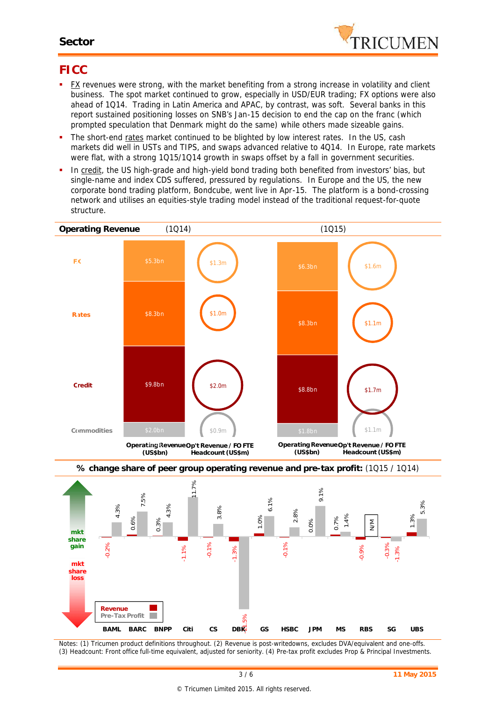#### **Sector**



#### **FICC**

- FX revenues were strong, with the market benefiting from a strong increase in volatility and client business. The spot market continued to grow, especially in USD/EUR trading; FX options were also ahead of 1Q14. Trading in Latin America and APAC, by contrast, was soft. Several banks in this report sustained positioning losses on SNB's Jan-15 decision to end the cap on the franc (which prompted speculation that Denmark might do the same) while others made sizeable gains.
- The short-end rates market continued to be blighted by low interest rates. In the US, cash markets did well in USTs and TIPS, and swaps advanced relative to 4Q14. In Europe, rate markets were flat, with a strong 1Q15/1Q14 growth in swaps offset by a fall in government securities.
- In credit, the US high-grade and high-yield bond trading both benefited from investors' bias, but single-name and index CDS suffered, pressured by regulations. In Europe and the US, the new corporate bond trading platform, Bondcube, went live in Apr-15. The platform is a bond-crossing network and utilises an equities-style trading model instead of the traditional request-for-quote structure.





*Notes: (1) Tricumen product definitions throughout. (2) Revenue is post-writedowns, excludes DVA/equivalent and one-offs. (3) Headcount: Front office full-time equivalent, adjusted for seniority. (4) Pre-tax profit excludes Prop & Principal Investments.*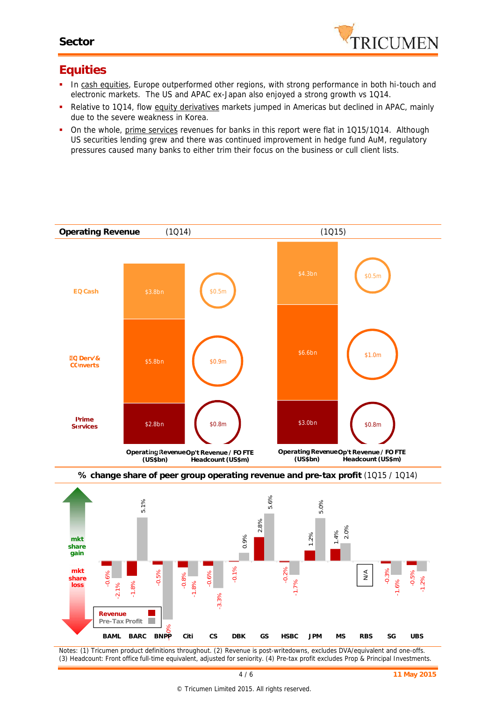

#### **Equities**

- In cash equities, Europe outperformed other regions, with strong performance in both hi-touch and electronic markets. The US and APAC ex-Japan also enjoyed a strong growth vs 1Q14.
- Relative to 1Q14, flow equity derivatives markets jumped in Americas but declined in APAC, mainly due to the severe weakness in Korea.
- On the whole, prime services revenues for banks in this report were flat in 1Q15/1Q14. Although US securities lending grew and there was continued improvement in hedge fund AuM, regulatory pressures caused many banks to either trim their focus on the business or cull client lists.







*Notes: (1) Tricumen product definitions throughout. (2) Revenue is post-writedowns, excludes DVA/equivalent and one-offs. (3) Headcount: Front office full-time equivalent, adjusted for seniority. (4) Pre-tax profit excludes Prop & Principal Investments.*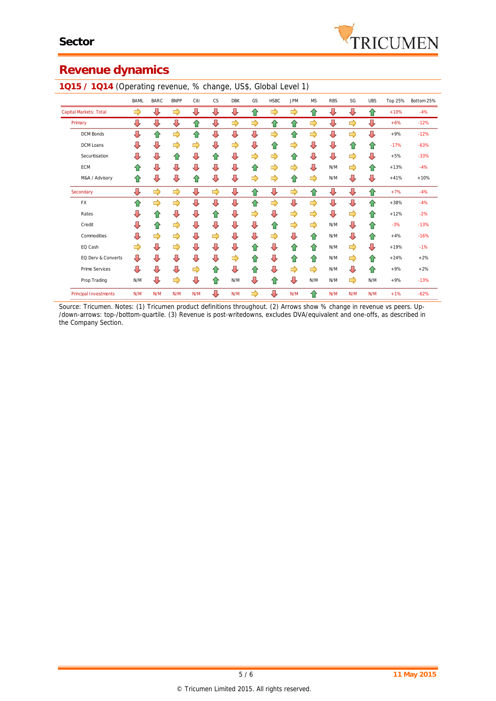# **Revenue dynamics**

|                              | <b>BAML</b> | <b>BARC</b> | <b>BNPP</b> | Citi | <b>CS</b> | <b>DBK</b> | GS | <b>HSBC</b> | <b>JPM</b> | <b>MS</b> | <b>RBS</b>              | SG  | <b>UBS</b> | Top 25% | Bottom 25% |
|------------------------------|-------------|-------------|-------------|------|-----------|------------|----|-------------|------------|-----------|-------------------------|-----|------------|---------|------------|
| Capital Markets: Total       | ⇨           | ⇩           | ⇨           | ⇩    | ⇩         | ⇩          | ⇧  | ⇨           | ⇨          | ⇧         | ⇩                       | ⇩   | ⇧          | $+10%$  | $-4%$      |
| Primary                      | ⇩           | ⇩           | ⇩           | ⇧    | ⇩         | ⇨          | ⇨  | ⇧           | ⇧          | ⇨         | ⇩                       | ⇨   | ⇩          | $+6%$   | $-12%$     |
| <b>DCM Bonds</b>             | ⇩           | ⇧           | ⇨           | ⇧    | ⇩         | ⇩          | ⇩  | ⇨           | ⇧          | ⇨         | ⇩                       | ⇨   | ⇩          | $+9%$   | $-12%$     |
| <b>DCM</b> Loans             | ⇩           | ⇩           | ⇨           | ⇨    | ⇩         | ⇨          | ⇩  | ⇧           | ⇨          | ⇩         | $\overline{\mathbb{Q}}$ | ⇑   | ⇧          | $-17%$  | $-63%$     |
| Securitisation               | ⇩           | ⇩           | ⇑           | ⇩    | ⇧         | ⇩          | ⇨  | ⇨           | ⇧          | ⇩         | $\sqrt{2}$              | ⇨   | ⇩          | $+5%$   | $-33%$     |
| <b>ECM</b>                   | ⇑           | ⇩           | ⊕           | ⇩    | ⇩         | ⇩          | ⇧  | ⇨           | ⇨          | ⇩         | N/M                     | ⇨   | ⇧          | $+13%$  | $-4%$      |
| M&A / Advisory               | ⇑           | ⇩           | ⇩           | ⇧    | ⇩         | ⇩          | ⇨  | ⇨           | ⇧          | ⇨         | N/M                     | ⇩   | ⇩          | $+41%$  | $+10%$     |
| Secondary                    | ⇩           | ⇨           | ⇨           | ⇩    | ⇨         | ⇩          | ⇧  | ⇩           | ⇨          | ⇧         | ⇩                       | ⇩   | ⇧          | $+7%$   | $-4%$      |
| FX                           | ⇧           | ⇨           | ⇨           | ⇩    | ⇩         | ⇩          | ⇧  | ⇨           | ⇩          | ⇨         | ⇩                       | ⇩   | ⇧          | $+38%$  | $-4%$      |
| Rates                        | ⇩           | ⇑           | ⇩           | ⇩    | ⇧         | ⇩          | ⇨  | ⇩           | ⇨          | ⇨         | ⇩                       | ⇨   | ⇧          | $+12%$  | $-2%$      |
| Credit                       | ⇩           | ⇧           | ⇨           | ⇩    | ⇩         | ⇩          | ⇩  | 슙           | ⇨          | ⇨         | N/M                     | ⇩   | ⇧          | $-3%$   | $-13%$     |
| Commodities                  | J           | ⇨           | ⇨           | ⇩    | ⇨         | ⇩          | ⇩  | ⇨           | ⇩          | ⇧         | N/M                     | ⇩   | 슈          | $+4%$   | $-16%$     |
| EQ Cash                      | ⇨           | ⇩           | ⇨           | ⇩    | ⇩         | ⇩          | ⇧  | ⇩           | ⇧          | ⇧         | N/M                     | ⇨   | ⇩          | $+19%$  | $-1%$      |
| EQ Derv & Converts           | ⇩           | ⇩           | ⇩           | ⇩    | ⇩         | ⇨          | ⇧  | ⇩           | ⇑          | ⇧         | N/M                     | ⇨   | ⇧          | $+24%$  | $+2%$      |
| Prime Services               | ⇩           | ⇩           | ⇩           | ⇨    | ⇧         | ⇩          | ⇧  | ⇩           | ⇨          | ⇨         | N/M                     | ⇩   | ⇧          | $+9%$   | $+2%$      |
| Prop Trading                 | N/M         | ⇩           | ⇨           | ⇩    | ⇧         | N/M        | ⇩  | ⇧           | ⇩          | N/M       | N/M                     | ⇨   | N/M        | $+9%$   | $-13%$     |
| <b>Principal Investments</b> | N/M         | N/M         | N/M         | N/M  | ⇩         | N/M        | ⇨  | ⇩           | N/M        | ⇧         | N/M                     | N/M | N/M        | $+1%$   | $-62%$     |

**1Q15 / 1Q14** (Operating revenue, % change, US\$, Global Level 1)

*Source: Tricumen. Notes: (1) Tricumen product definitions throughout. (2) Arrows show % change in revenue vs peers. Up- /down-arrows: top-/bottom-quartile. (3) Revenue is post-writedowns, excludes DVA/equivalent and one-offs, as described in the Company Section.*